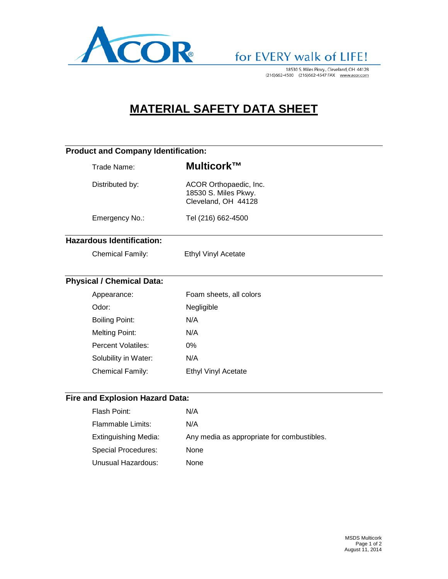

# for EVERY walk of LIFE!

18530 S. Miles Pkwy., Cleveland, OH 44128<br>(216)662-4500 (216)662-4547 FAX www.acor.com

### **MATERIAL SAFETY DATA SHEET**

| <b>Product and Company Identification:</b> |                                  |                                                                       |  |  |
|--------------------------------------------|----------------------------------|-----------------------------------------------------------------------|--|--|
|                                            | Trade Name:                      | Multicork™                                                            |  |  |
|                                            | Distributed by:                  | ACOR Orthopaedic, Inc.<br>18530 S. Miles Pkwy.<br>Cleveland, OH 44128 |  |  |
|                                            | Emergency No.:                   | Tel (216) 662-4500                                                    |  |  |
|                                            | <b>Hazardous Identification:</b> |                                                                       |  |  |
|                                            | Chemical Family:                 | Ethyl Vinyl Acetate                                                   |  |  |
|                                            | <b>Physical / Chemical Data:</b> |                                                                       |  |  |
|                                            | Appearance:                      | Foam sheets, all colors                                               |  |  |
|                                            | Odor:                            | Negligible                                                            |  |  |
|                                            | <b>Boiling Point:</b>            | N/A                                                                   |  |  |
|                                            | <b>Melting Point:</b>            | N/A                                                                   |  |  |
|                                            | <b>Percent Volatiles:</b>        | 0%                                                                    |  |  |
|                                            | Solubility in Water:             | N/A                                                                   |  |  |
|                                            | Chemical Family:                 | <b>Ethyl Vinyl Acetate</b>                                            |  |  |
|                                            | Fire and Explosion Hazard Data:  |                                                                       |  |  |
|                                            | Flash Point:                     | N/A                                                                   |  |  |
|                                            | <b>Flammable Limits:</b>         | N/A                                                                   |  |  |
|                                            | <b>Extinguishing Media:</b>      | Any media as appropriate for combustibles.                            |  |  |
|                                            | <b>Special Procedures:</b>       | None                                                                  |  |  |
|                                            | <b>Unusual Hazardous:</b>        | None                                                                  |  |  |
|                                            |                                  |                                                                       |  |  |